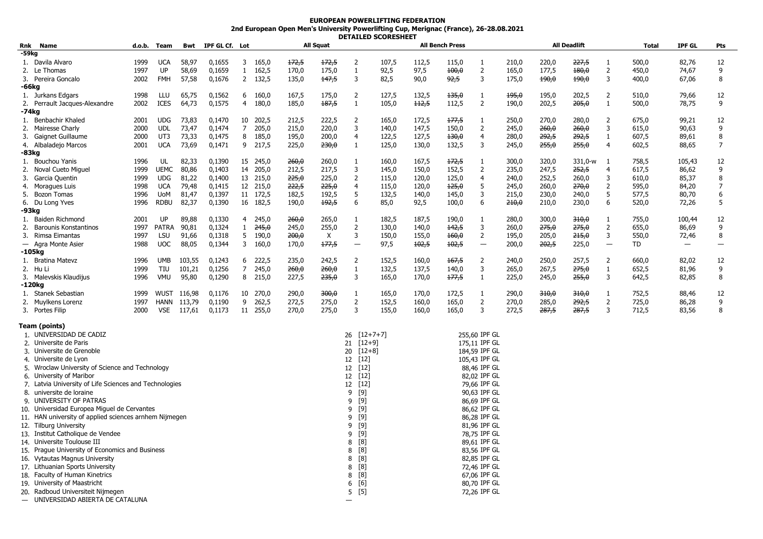## **EUROPEAN POWERLIFTING FEDERATION 2nd European Open Men's University Powerlifting Cup, Merignac (France), 26-28.08.2021 DETAILED SCORESHEET**

| Rnk<br>Name                                                                        | d.o.b.       | Team        | Bwt    | IPF GL Cf. Lot |                |               |                | All Squat |                          |                              |                | <b>All Bench Press</b> |                              |                |       | <b>All Deadlift</b> |                | Total          | <b>IPF GL</b> | Pts            |
|------------------------------------------------------------------------------------|--------------|-------------|--------|----------------|----------------|---------------|----------------|-----------|--------------------------|------------------------------|----------------|------------------------|------------------------------|----------------|-------|---------------------|----------------|----------------|---------------|----------------|
| -59kg                                                                              |              |             |        |                |                |               |                |           |                          |                              |                |                        |                              |                |       |                     |                |                |               |                |
| 1. Davila Alvaro                                                                   | 1999         | <b>UCA</b>  | 58,97  | 0,1655         | 3              | 165,0         | 172,5          | 172,5     | 2                        | 107,5                        | 112,5          | 115,0                  | $\mathbf{1}$                 | 210,0          | 220,0 | 227,5               | 1              | 500,0          | 82,76         | 12             |
| 2.<br>Le Thomas                                                                    | 1997         | UP          | 58,69  | 0,1659         | $\mathbf{1}$   | 162,5         | 170,0          | 175,0     | $\mathbf{1}$             | 92,5                         | 97,5           | 400,0                  | 2                            | 165,0          | 177,5 | 180,0               | $\overline{2}$ | 450,0          | 74,67         | 9              |
| Pereira Goncalo<br>3.                                                              | 2002         | FMH         | 57,58  | 0,1676         | $\overline{2}$ | 132,5         | 135,0          | 147,5     | 3                        | 82,5                         | 90,0           | 92,5                   | 3                            | 175,0          | 490,0 | 490,0               | 3              | 400,0          | 67,06         | 8              |
| -66kg                                                                              |              |             |        |                |                |               |                |           |                          |                              |                |                        |                              |                |       |                     |                |                |               |                |
| 1. Jurkans Edgars                                                                  | 1998         | LLU         | 65,75  | 0,1562         | 6              | 160,0         | 167,5          | 175,0     | $\overline{2}$           | 127,5                        | 132,5          | 135,0                  | 1                            | 495,0          | 195,0 | 202,5               | $\overline{2}$ | 510,0          | 79,66         | 12             |
| 2. Perrault Jacques-Alexandre                                                      | 2002         | ICES        | 64,73  | 0,1575         | $\overline{4}$ | 180,0         | 185,0          | 187,5     | $\mathbf{1}$             | 105,0                        | 112,5          | 112,5                  | $\overline{2}$               | 190,0          | 202,5 | 205,0               | $\mathbf{1}$   | 500,0          | 78,75         | 9              |
| -74kg                                                                              |              |             |        |                |                |               |                |           |                          |                              |                |                        |                              |                |       |                     |                |                |               |                |
| Benbachir Khaled<br>1.                                                             | 2001         | <b>UDG</b>  | 73,83  | 0,1470         | 10             | 202,5         | 212,5          | 222,5     | $\overline{2}$           | 165,0                        | 172,5          | 177,5                  | 1                            | 250,0          | 270,0 | 280,0               | $\overline{2}$ | 675,0          | 99,21         | 12             |
| Mairesse Charly<br>2.                                                              | 2000         | <b>UDL</b>  | 73,47  | 0,1474         | $\overline{7}$ | 205,0         | 215,0          | 220,0     | 3                        | 140,0                        | 147,5          | 150,0                  | $\overline{2}$               | 245,0          | 260,0 | 260,0               | 3              | 615,0          | 90,63         | 9              |
| Gaignet Guillaume<br>3.                                                            | 2000         | UT3         | 73,33  | 0,1475         | 8              | 185,0         | 195,0          | 200,0     | 4                        | 122,5                        | 127,5          | 130,0                  | 4                            | 280,0          | 292,5 | 292,5               | 1              | 607,5          | 89,61         | 8              |
| 4. Albaladejo Marcos                                                               | 2001         | <b>UCA</b>  | 73,69  | 0,1471         | 9              | 217,5         | 225,0          | 230,0     | $\mathbf{1}$             | 125,0                        | 130,0          | 132,5                  | 3                            | 245,0          | 255,0 | 255,0               | 4              | 602,5          | 88,65         | $\overline{7}$ |
| -83kg                                                                              |              |             |        |                |                |               |                |           |                          |                              |                |                        |                              |                |       |                     |                |                |               |                |
| 1. Bouchou Yanis                                                                   | 1996         | UL          | 82,33  | 0,1390         |                | 15 245,0      | 260,0          | 260,0     | 1                        | 160,0                        | 167,5          | 172,5                  | 1                            | 300,0          | 320,0 | 331,0-w             | -1             | 758,5          | 105,43        | 12             |
| 2.<br>Noval Cueto Miguel                                                           | 1999         | UEMC        | 80,86  | 0,1403         |                | 14 205,0      | 212,5          | 217,5     | 3                        | 145,0                        | 150,0          | 152,5                  | $\overline{2}$               | 235,0          | 247,5 | 252,5               | $\overline{a}$ | 617,5          | 86,62         | 9              |
| 3.<br>Garcia Quentin                                                               | 1999         | <b>UDG</b>  | 81,22  | 0,1400         | 13             | 215,0         | 225,0          | 225,0     | 2                        | 115,0                        | 120,0          | 125,0                  | 4                            | 240,0          | 252,5 | 260,0               | 3              | 610,0          | 85,37         | 8              |
| 4. Moragues Luis                                                                   | 1998         | <b>UCA</b>  | 79,48  | 0,1415         |                | 12 215,0      | 222,5          | 225,0     | $\overline{4}$           | 115,0                        | 120,0          | 125,0                  | 5                            | 245,0          | 260,0 | 270,0               | $\overline{2}$ | 595,0          | 84,20         | $\overline{7}$ |
| 5.<br>Bozon Tomas                                                                  | 1996         | UoM         | 81,47  | 0,1397         |                | 11 172,5      | 182,5          | 192,5     | 5                        | 132,5                        | 140,0          | 145,0                  | 3                            | 215,0          | 230,0 | 240,0               | 5              | 577,5          | 80,70         | 6              |
|                                                                                    | 1996         | <b>RDBU</b> |        |                |                |               |                |           | 6                        |                              |                |                        | 6                            |                |       |                     |                | 520,0          |               | 5              |
| 6. Du Long Yves<br>-93kg                                                           |              |             | 82,37  | 0,1390         |                | 16 182,5      | 190,0          | 192,5     |                          | 85,0                         | 92,5           | 100,0                  |                              | 210,0          | 210,0 | 230,0               | 6              |                | 72,26         |                |
| 1. Baiden Richmond                                                                 | 2001         | UP          | 89,88  | 0,1330         | $\overline{4}$ | 245,0         | 260,0          | 265,0     | 1                        | 182,5                        | 187,5          | 190,0                  | $\mathbf{1}$                 | 280,0          | 300,0 | 310,0               | 1              | 755,0          | 100,44        | 12             |
| <b>Barounis Konstantinos</b>                                                       |              | PATRA       | 90,81  | 0,1324         | $\mathbf{1}$   | 245,0         |                | 255,0     | $\overline{2}$           | 130,0                        |                | 142,5                  | 3                            |                | 275,0 | 275,0               | $\overline{2}$ |                |               | 9              |
| 2.<br>3. Rimsa Eimantas                                                            | 1997<br>1997 | LSU         | 91,66  | 0,1318         | 5              | 190,0         | 245,0<br>200,0 | X         | 3                        | 150,0                        | 140,0<br>155,0 | 160,0                  | 2                            | 260,0<br>195,0 | 205,0 | 215,0               | 3              | 655,0<br>550,0 | 86,69         | 8              |
| — Agra Monte Asier                                                                 | 1988         | <b>UOC</b>  | 88,05  | 0,1344         | 3              | 160,0         | 170,0          | 177,5     | $\overline{\phantom{0}}$ | 97,5                         | $+02,5$        | 102,5                  | $\overline{\phantom{m}}$     |                | 202,5 | 225,0               |                | TD.            | 72,46         |                |
| -105kg                                                                             |              |             |        |                |                |               |                |           |                          |                              |                |                        |                              | 200,0          |       |                     |                |                |               |                |
|                                                                                    |              |             | 103,55 | 0,1243         |                |               | 235,0          |           |                          | 152,5                        |                |                        |                              |                |       | 257,5               |                | 660.0          |               |                |
| 1. Bratina Matevz                                                                  | 1996         | <b>UMB</b>  |        |                | 6              | 222,5         |                | 242,5     | 2                        |                              | 160,0          | 167,5                  | $\overline{2}$               | 240,0          | 250,0 |                     | 2              |                | 82,02         | 12             |
| 2. Hu Li                                                                           | 1999         | TIU         | 101,21 | 0,1256         | 7              | 245,0         | 260,0          | 260,0     | $\mathbf{1}$             | 132,5                        | 137,5          | 140,0                  | 3                            | 265,0          | 267,5 | 275,0               | $\mathbf{1}$   | 652,5          | 81,96         | 9              |
| 3. Malevskis Klaudijus                                                             | 1996         | <b>VMU</b>  | 95,80  | 0,1290         | 8              | 215,0         | 227,5          | 235,0     | 3                        | 165,0                        | 170,0          | 177,5                  | $\mathbf{1}$                 | 225,0          | 245,0 | 255,0               | 3              | 642,5          | 82,85         | 8              |
| -120kg                                                                             |              |             |        |                |                |               |                |           |                          |                              |                |                        |                              |                |       |                     |                |                |               |                |
| 1. Stanek Sebastian                                                                | 1999         | WUST        | 116,98 | 0,1176         | 10             | 270,0         | 290,0          | 300,0     | $\mathbf{1}$             | 165,0                        | 170,0          | 172,5                  | $\mathbf{1}$                 | 290,0          | 310,0 | 310,0               | $\mathbf{1}$   | 752,5          | 88,46         | 12             |
| 2. Muylkens Lorenz                                                                 | 1997         | HANN        | 113,79 | 0,1190         | 9              | 262,5         | 272,5          | 275,0     | $\overline{2}$<br>3      | 152,5                        | 160,0          | 165,0                  | $\overline{2}$               | 270,0          | 285,0 | 292,5               | 2<br>3         | 725,0          | 86,28         | 9<br>8         |
| 3. Portes Filip                                                                    | 2000         | VSE         | 117,61 | 0,1173         |                | 11 255,0      | 270,0          | 275,0     |                          | 155,0                        | 160,0          | 165,0                  | 3                            | 272,5          | 287,5 | 287,5               |                | 712,5          | 83,56         |                |
| Team (points)                                                                      |              |             |        |                |                |               |                |           |                          |                              |                |                        |                              |                |       |                     |                |                |               |                |
| 1. UNIVERSIDAD DE CADIZ                                                            |              |             |        |                |                |               |                |           | 26 [12+7+7]              |                              |                |                        | 255,60 IPF GL                |                |       |                     |                |                |               |                |
| 2. Universite de Paris                                                             |              |             |        |                |                |               |                |           | $[12+9]$<br>21           |                              |                |                        | 175,11 IPF GL                |                |       |                     |                |                |               |                |
| 3. Universite de Grenoble                                                          |              |             |        |                |                |               |                |           | 20<br>$[12+8]$           |                              |                |                        | 184,59 IPF GL                |                |       |                     |                |                |               |                |
| 4. Universite de Lyon                                                              |              |             |        |                | $[12]$<br>12   |               |                |           | 105,43 IPF GL            |                              |                |                        |                              |                |       |                     |                |                |               |                |
|                                                                                    |              |             |        |                |                |               |                |           | $[12]$                   |                              |                |                        | 88,46 IPF GL                 |                |       |                     |                |                |               |                |
| 5. Wroclaw University of Science and Technology                                    |              |             |        |                |                | 12<br>$[12]$  |                |           |                          | 82.02 IPF GL                 |                |                        |                              |                |       |                     |                |                |               |                |
| 6. University of Maribor<br>7. Latvia University of Life Sciences and Technologies |              |             |        |                |                |               | 12<br>12       |           |                          |                              |                | 79,66 IPF GL           |                              |                |       |                     |                |                |               |                |
| 8. universite de loraine                                                           |              |             |        |                |                |               |                |           | $[12]$<br>[9]            |                              |                |                        |                              |                |       |                     |                |                |               |                |
| 9. UNIVERSITY OF PATRAS                                                            |              |             |        |                |                |               |                |           | 9<br>9                   |                              |                |                        | 90,63 IPF GL<br>86,69 IPF GL |                |       |                     |                |                |               |                |
|                                                                                    |              |             |        |                |                |               |                |           | $[9]$                    |                              |                |                        |                              |                |       |                     |                |                |               |                |
| 10. Universidad Europea Miguel de Cervantes                                        |              |             |        |                |                | [9]<br>9<br>9 |                |           |                          | 86,62 IPF GL<br>86,28 IPF GL |                |                        |                              |                |       |                     |                |                |               |                |
| 11. HAN university of applied sciences arnhem Nijmegen                             |              |             |        |                |                |               | [9]            |           |                          |                              |                |                        |                              |                |       |                     |                |                |               |                |
| 12. Tilburg University                                                             |              |             |        |                |                |               | $[9]$<br>9     |           |                          |                              | 81,96 IPF GL   |                        |                              |                |       |                     |                |                |               |                |
| 13. Institut Catholique de Vendee                                                  |              |             |        |                |                |               |                |           | 9<br>[9]                 |                              |                |                        | 78,75 IPF GL                 |                |       |                     |                |                |               |                |
| 14. Universite Toulouse III<br>15. Prague University of Economics and Business     |              |             |        |                |                | [8]<br>8      |                |           |                          | 89,61 IPF GL<br>83,56 IPF GL |                |                        |                              |                |       |                     |                |                |               |                |
|                                                                                    |              |             |        |                |                |               |                |           | [8]<br>8                 |                              |                |                        |                              |                |       |                     |                |                |               |                |
| 16. Vytautas Magnus University                                                     |              |             |        |                |                |               |                |           | $[8]$<br>8               |                              |                |                        | 82,85 IPF GL                 |                |       |                     |                |                |               |                |
| 17. Lithuanian Sports University                                                   |              |             |        |                |                |               |                |           | [8]<br>8                 |                              |                |                        | 72,46 IPF GL                 |                |       |                     |                |                |               |                |
| 18. Faculty of Human Kinetrics                                                     |              |             |        |                |                |               |                |           | [8]<br>8                 |                              |                |                        | 67,06 IPF GL                 |                |       |                     |                |                |               |                |
| 19. University of Maastricht                                                       |              |             |        |                |                |               |                |           | $[6]$<br>6               |                              |                |                        | 80,70 IPF GL                 |                |       |                     |                |                |               |                |
| 20. Radboud Universiteit Nijmegen                                                  |              |             |        |                |                |               |                |           | 5<br>[5]                 |                              |                |                        | 72,26 IPF GL                 |                |       |                     |                |                |               |                |

— UNIVERSIDAD ABIERTA DE CATALUNA —